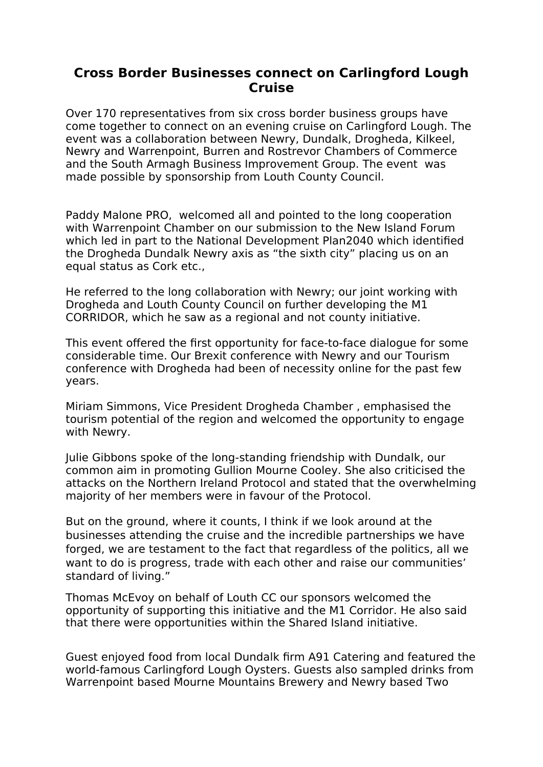## **Cross Border Businesses connect on Carlingford Lough Cruise**

Over 170 representatives from six cross border business groups have come together to connect on an evening cruise on Carlingford Lough. The event was a collaboration between Newry, Dundalk, Drogheda, Kilkeel, Newry and Warrenpoint, Burren and Rostrevor Chambers of Commerce and the South Armagh Business Improvement Group. The event was made possible by sponsorship from Louth County Council.

Paddy Malone PRO, welcomed all and pointed to the long cooperation with Warrenpoint Chamber on our submission to the New Island Forum which led in part to the National Development Plan2040 which identified the Drogheda Dundalk Newry axis as "the sixth city" placing us on an equal status as Cork etc.,

He referred to the long collaboration with Newry; our joint working with Drogheda and Louth County Council on further developing the M1 CORRIDOR, which he saw as a regional and not county initiative.

This event offered the first opportunity for face-to-face dialogue for some considerable time. Our Brexit conference with Newry and our Tourism conference with Drogheda had been of necessity online for the past few years.

Miriam Simmons, Vice President Drogheda Chamber , emphasised the tourism potential of the region and welcomed the opportunity to engage with Newry.

Julie Gibbons spoke of the long-standing friendship with Dundalk, our common aim in promoting Gullion Mourne Cooley. She also criticised the attacks on the Northern Ireland Protocol and stated that the overwhelming majority of her members were in favour of the Protocol.

But on the ground, where it counts, I think if we look around at the businesses attending the cruise and the incredible partnerships we have forged, we are testament to the fact that regardless of the politics, all we want to do is progress, trade with each other and raise our communities' standard of living."

Thomas McEvoy on behalf of Louth CC our sponsors welcomed the opportunity of supporting this initiative and the M1 Corridor. He also said that there were opportunities within the Shared Island initiative.

Guest enjoyed food from local Dundalk firm A91 Catering and featured the world-famous Carlingford Lough Oysters. Guests also sampled drinks from Warrenpoint based Mourne Mountains Brewery and Newry based Two